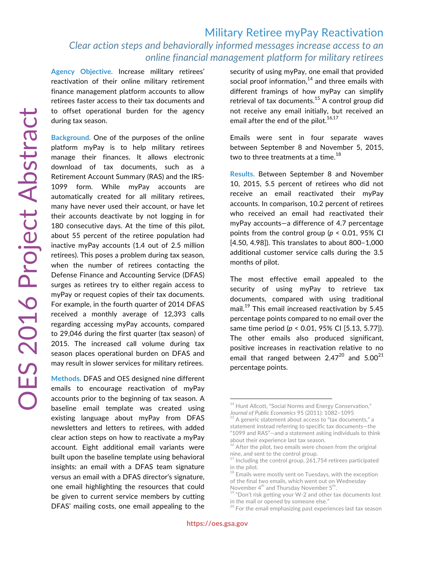## Military Retiree myPay Reactivation *Clear action steps and behaviorally informed messages increase access to an online financial management platform for military retirees*

**Agency Objective.** Increase military retirees' reactivation of their online military retirement finance management platform accounts to allow retirees faster access to their tax documents and to offset operational burden for the agency during tax season.

**Background.** One of the purposes of the online platform myPay is to help military retirees manage their finances. It allows electronic download of tax documents, such as a Retirement Account Summary (RAS) and the IRS-1099 form. While myPay accounts are automatically created for all military retirees, many have never used their account, or have let their accounts deactivate by not logging in for 180 consecutive days. At the time of this pilot, about 55 percent of the retiree population had inactive myPay accounts (1.4 out of 2.5 million retirees). This poses a problem during tax season, when the number of retirees contacting the Defense Finance and Accounting Service (DFAS) surges as retirees try to either regain access to myPay or request copies of their tax documents. For example, in the fourth quarter of 2014 DFAS received a monthly average of 12,393 calls regarding accessing myPay accounts, compared to 29,046 during the first quarter (tax season) of 2015. The increased call volume during tax season places operational burden on DFAS and may result in slower services for military retirees.

**Methods.** DFAS and OES designed nine different emails to encourage reactivation of myPay accounts prior to the beginning of tax season. A baseline email template was created using existing language about myPay from DFAS newsletters and letters to retirees, with added clear action steps on how to reactivate a myPay account. Eight additional email variants were built upon the baseline template using behavioral insights: an email with a DFAS team signature versus an email with a DFAS director's signature, one email highlighting the resources that could be given to current service members by cutting DFAS' mailing costs, one email appealing to the security of using myPay, one email that provided social proof information, $14$  and three emails with different framings of how myPay can simplify retrieval of tax documents. $^{15}$  A control group did not receive any email initially, but received an email after the end of the pilot. $16,17$ 

Emails were sent in four separate waves between September 8 and November 5, 2015, two to three treatments at a time. $^{18}$ 

**Results.** Between September 8 and November 10, 2015, 5.5 percent of retirees who did not receive an email reactivated their myPay accounts. In comparison, 10.2 percent of retirees who received an email had reactivated their myPay accounts—a difference of 4.7 percentage points from the control group (*p* < 0.01, 95% CI [4.50, 4.98]). This translates to about 800–1,000 additional customer service calls during the 3.5 months of pilot.

The most effective email appealed to the security of using myPay to retrieve tax documents, compared with using traditional mail.<sup>19</sup> This email increased reactivation by 5.45 percentage points compared to no email over the same time period (*p* < 0.01, 95% CI [5.13, 5.77]). The other emails also produced significant, positive increases in reactivation relative to no email that ranged between 2.47 $^{20}$  and 5.00 $^{21}$ percentage points.

 $^{20}$  For the email emphasizing past experiences last tax season

<sup>&</sup>lt;sup>14</sup> Hunt Allcott, "Social Norms and Energy Conservation,"

*Journal of Public Economics 95 (2011): 1082–1095*<br><sup>15</sup> A generic statement about access to "tax documents," a statement instead referring to specific tax documents—the "1099 and RAS"—and a statement asking individuals to think about their experience last tax season.

<sup>&</sup>lt;sup>16</sup> After the pilot, two emails were chosen from the original nine, and sent to the control group.

 $17$  Including the control group, 261,754 retirees participated in the pilot.

 $^{\rm 18}$  Emails were mostly sent on Tuesdays, with the exception of the final two emails, which went out on Wednesday<br>November 4<sup>th</sup> and Thursday November 5<sup>th</sup>.

<sup>&</sup>quot;Don't risk getting your W-2 and other tax documents lost. in the mail or opened by someone else."